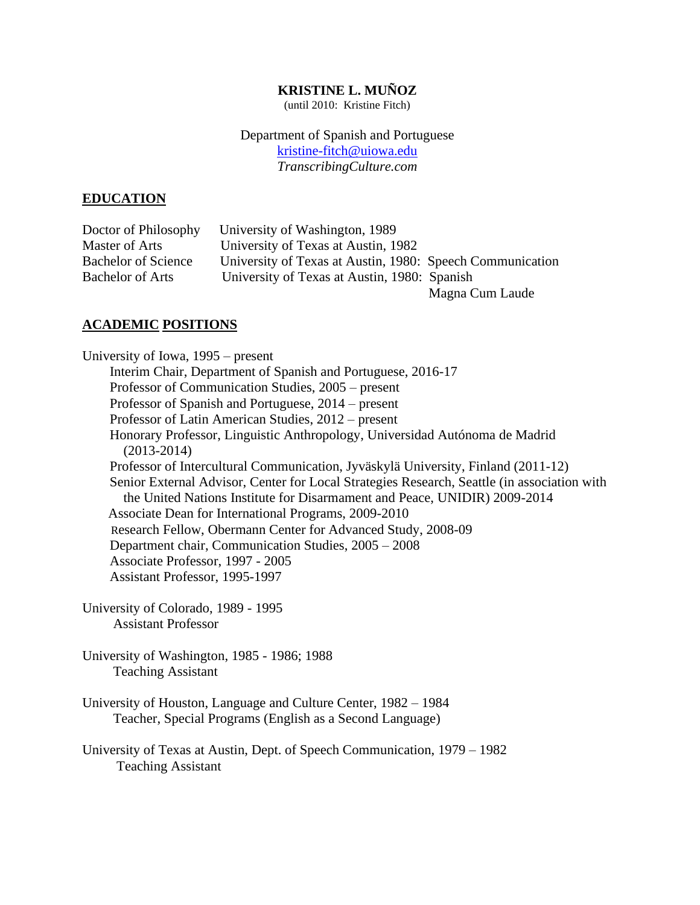# **KRISTINE L. MUÑOZ**

(until 2010: Kristine Fitch)

Department of Spanish and Portuguese [kristine-fitch@uiowa.edu](mailto:kristine-fitch@uiowa.edu) *TranscribingCulture.com* 

# **EDUCATION**

| Doctor of Philosophy       | University of Washington, 1989                            |                 |
|----------------------------|-----------------------------------------------------------|-----------------|
| Master of Arts             | University of Texas at Austin, 1982                       |                 |
| <b>Bachelor of Science</b> | University of Texas at Austin, 1980: Speech Communication |                 |
| <b>Bachelor of Arts</b>    | University of Texas at Austin, 1980: Spanish              |                 |
|                            |                                                           | Magna Cum Laude |

# **ACADEMIC POSITIONS**

University of Iowa, 1995 – present Interim Chair, Department of Spanish and Portuguese, 2016-17 Professor of Communication Studies, 2005 – present Professor of Spanish and Portuguese, 2014 – present Professor of Latin American Studies, 2012 – present Honorary Professor, Linguistic Anthropology, Universidad Autónoma de Madrid (2013-2014) Professor of Intercultural Communication, Jyväskylä University, Finland (2011-12) Senior External Advisor, Center for Local Strategies Research, Seattle (in association with the United Nations Institute for Disarmament and Peace, UNIDIR) 2009-2014 Associate Dean for International Programs, 2009-2010 Research Fellow, Obermann Center for Advanced Study, 2008-09 Department chair, Communication Studies, 2005 – 2008 Associate Professor, 1997 - 2005 Assistant Professor, 1995-1997

University of Colorado, 1989 - 1995 Assistant Professor

University of Washington, 1985 - 1986; 1988 Teaching Assistant

University of Houston, Language and Culture Center, 1982 – 1984 Teacher, Special Programs (English as a Second Language)

University of Texas at Austin, Dept. of Speech Communication, 1979 – 1982 Teaching Assistant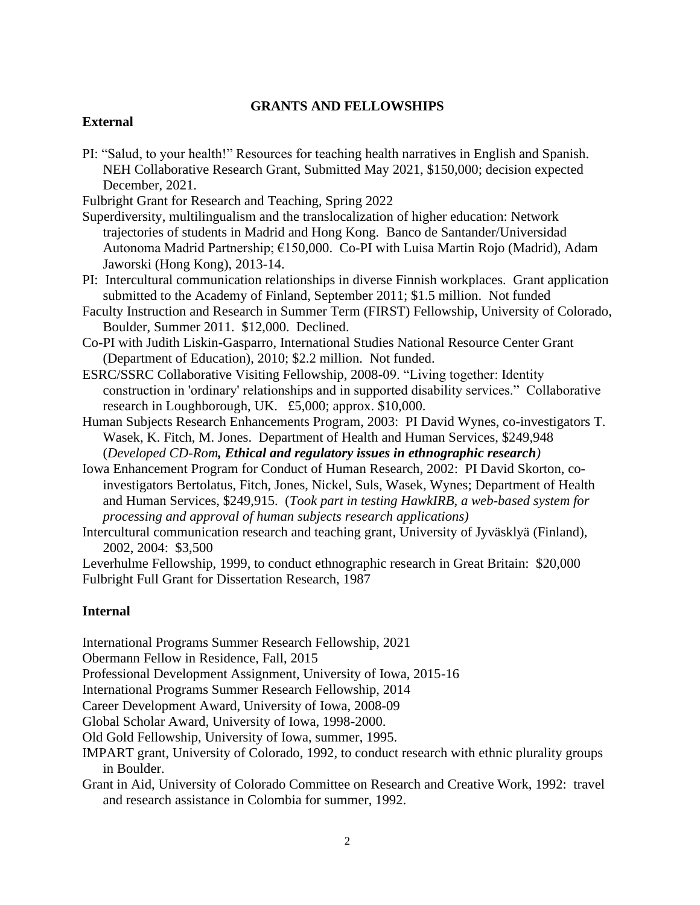# **GRANTS AND FELLOWSHIPS**

# **External**

PI: "Salud, to your health!" Resources for teaching health narratives in English and Spanish. NEH Collaborative Research Grant, Submitted May 2021, \$150,000; decision expected December, 2021.

Fulbright Grant for Research and Teaching, Spring 2022

Superdiversity, multilingualism and the translocalization of higher education: Network trajectories of students in Madrid and Hong Kong. Banco de Santander/Universidad Autonoma Madrid Partnership; €150,000. Co-PI with Luisa Martin Rojo (Madrid), Adam Jaworski (Hong Kong), 2013-14.

- PI: Intercultural communication relationships in diverse Finnish workplaces. Grant application submitted to the Academy of Finland, September 2011; \$1.5 million. Not funded
- Faculty Instruction and Research in Summer Term (FIRST) Fellowship, University of Colorado, Boulder, Summer 2011. \$12,000. Declined.
- Co-PI with Judith Liskin-Gasparro, International Studies National Resource Center Grant (Department of Education), 2010; \$2.2 million. Not funded.
- ESRC/SSRC Collaborative Visiting Fellowship, 2008-09. "Living together: Identity construction in 'ordinary' relationships and in supported disability services." Collaborative research in Loughborough, UK. £5,000; approx. \$10,000.
- Human Subjects Research Enhancements Program, 2003: PI David Wynes, co-investigators T. Wasek, K. Fitch, M. Jones. Department of Health and Human Services, \$249,948 (*Developed CD-Rom, Ethical and regulatory issues in ethnographic research)*
- Iowa Enhancement Program for Conduct of Human Research, 2002: PI David Skorton, coinvestigators Bertolatus, Fitch, Jones, Nickel, Suls, Wasek, Wynes; Department of Health and Human Services, \$249,915. (*Took part in testing HawkIRB, a web-based system for processing and approval of human subjects research applications)*
- Intercultural communication research and teaching grant, University of Jyväsklyä (Finland), 2002, 2004: \$3,500

Leverhulme Fellowship, 1999, to conduct ethnographic research in Great Britain: \$20,000 Fulbright Full Grant for Dissertation Research, 1987

# **Internal**

International Programs Summer Research Fellowship, 2021

Obermann Fellow in Residence, Fall, 2015

Professional Development Assignment, University of Iowa, 2015-16

International Programs Summer Research Fellowship, 2014

Career Development Award, University of Iowa, 2008-09

Global Scholar Award, University of Iowa, 1998-2000.

Old Gold Fellowship, University of Iowa, summer, 1995.

IMPART grant, University of Colorado, 1992, to conduct research with ethnic plurality groups in Boulder.

Grant in Aid, University of Colorado Committee on Research and Creative Work, 1992: travel and research assistance in Colombia for summer, 1992.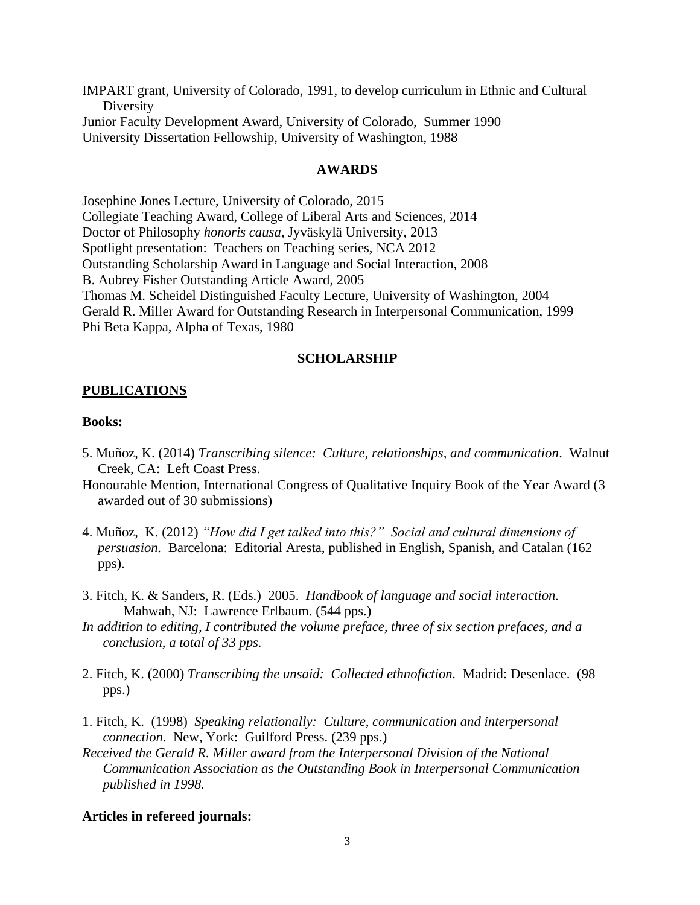IMPART grant, University of Colorado, 1991, to develop curriculum in Ethnic and Cultural **Diversity** Junior Faculty Development Award, University of Colorado, Summer 1990 University Dissertation Fellowship, University of Washington, 1988

## **AWARDS**

Josephine Jones Lecture, University of Colorado, 2015 Collegiate Teaching Award, College of Liberal Arts and Sciences, 2014 Doctor of Philosophy *honoris causa*, Jyväskylä University, 2013 Spotlight presentation: Teachers on Teaching series, NCA 2012 Outstanding Scholarship Award in Language and Social Interaction, 2008 B. Aubrey Fisher Outstanding Article Award, 2005 Thomas M. Scheidel Distinguished Faculty Lecture, University of Washington, 2004 Gerald R. Miller Award for Outstanding Research in Interpersonal Communication, 1999 Phi Beta Kappa, Alpha of Texas, 1980

## **SCHOLARSHIP**

#### **PUBLICATIONS**

## **Books:**

- 5. Muñoz, K. (2014) *Transcribing silence: Culture, relationships, and communication*. Walnut Creek, CA: Left Coast Press.
- Honourable Mention, International Congress of Qualitative Inquiry Book of the Year Award (3 awarded out of 30 submissions)
- 4. Muñoz, K. (2012) *"How did I get talked into this?" Social and cultural dimensions of persuasion.* Barcelona: Editorial Aresta, published in English, Spanish, and Catalan (162 pps).
- 3. Fitch, K. & Sanders, R. (Eds.) 2005. *Handbook of language and social interaction.* Mahwah, NJ: Lawrence Erlbaum. (544 pps.)
- *In addition to editing, I contributed the volume preface, three of six section prefaces, and a conclusion, a total of 33 pps.*
- 2. Fitch, K. (2000) *Transcribing the unsaid: Collected ethnofiction.* Madrid: Desenlace. (98 pps.)
- 1. Fitch, K. (1998) *Speaking relationally: Culture, communication and interpersonal connection*. New, York: Guilford Press. (239 pps.)
- *Received the Gerald R. Miller award from the Interpersonal Division of the National Communication Association as the Outstanding Book in Interpersonal Communication published in 1998.*

## **Articles in refereed journals:**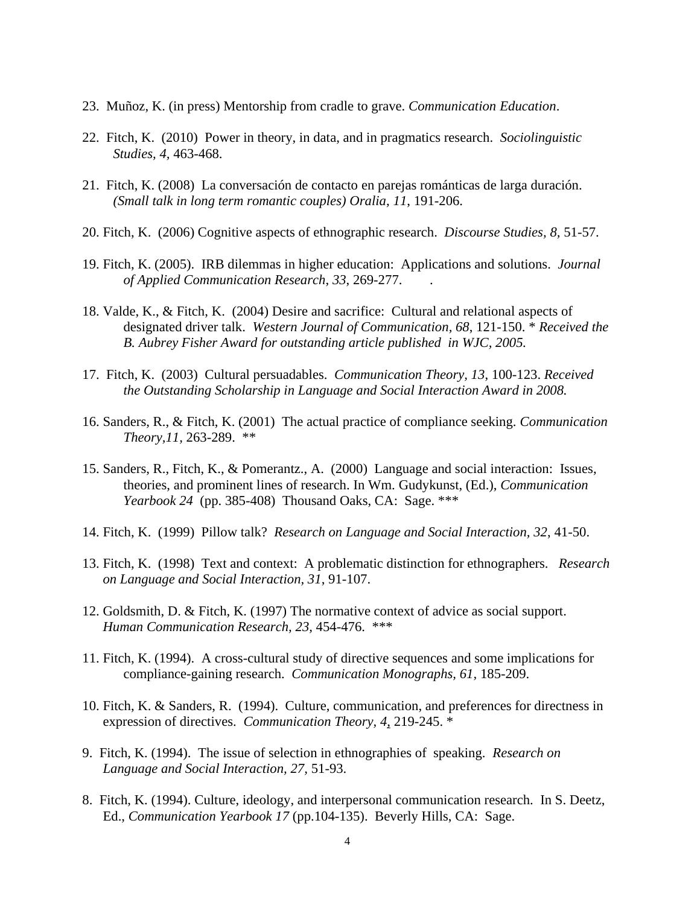- 23. Muñoz, K. (in press) Mentorship from cradle to grave. *Communication Education*.
- 22. Fitch, K. (2010) Power in theory, in data, and in pragmatics research. *Sociolinguistic Studies, 4,* 463-468.
- 21. Fitch, K. (2008) La conversación de contacto en parejas románticas de larga duración. *(Small talk in long term romantic couples) Oralia, 11*, 191-206.
- 20. Fitch, K. (2006) Cognitive aspects of ethnographic research. *Discourse Studies, 8,* 51-57.
- 19. Fitch, K. (2005). IRB dilemmas in higher education: Applications and solutions. *Journal of Applied Communication Research*, *33*, 269-277. .
- 18. Valde, K., & Fitch, K. (2004) Desire and sacrifice: Cultural and relational aspects of designated driver talk. *Western Journal of Communication, 68*, 121-150. \* *Received the B. Aubrey Fisher Award for outstanding article published in WJC, 2005.*
- 17. Fitch, K. (2003) Cultural persuadables. *Communication Theory, 13*, 100-123. *Received the Outstanding Scholarship in Language and Social Interaction Award in 2008.*
- 16. Sanders, R., & Fitch, K. (2001) The actual practice of compliance seeking. *Communication Theory,11,* 263-289. \*\*
- 15. Sanders, R., Fitch, K., & Pomerantz., A. (2000) Language and social interaction: Issues, theories, and prominent lines of research. In Wm. Gudykunst, (Ed.), *Communication Yearbook 24* (pp. 385-408) Thousand Oaks, CA: Sage. \*\*\*
- 14. Fitch, K. (1999) Pillow talk? *Research on Language and Social Interaction, 32*, 41-50.
- 13. Fitch, K. (1998) Text and context: A problematic distinction for ethnographers. *Research on Language and Social Interaction, 31*, 91-107.
- 12. Goldsmith, D. & Fitch, K. (1997) The normative context of advice as social support. *Human Communication Research, 23,* 454-476. \*\*\*
- 11. Fitch, K. (1994). A cross-cultural study of directive sequences and some implications for compliance-gaining research. *Communication Monographs, 61,* 185-209.
- 10. Fitch, K. & Sanders, R. (1994). Culture, communication, and preferences for directness in expression of directives. *Communication Theory, 4*, 219-245. \*
- 9. Fitch, K. (1994). The issue of selection in ethnographies of speaking. *Research on Language and Social Interaction, 27,* 51-93.
- 8. Fitch, K. (1994). Culture, ideology, and interpersonal communication research. In S. Deetz, Ed., *Communication Yearbook 17* (pp.104-135). Beverly Hills, CA: Sage.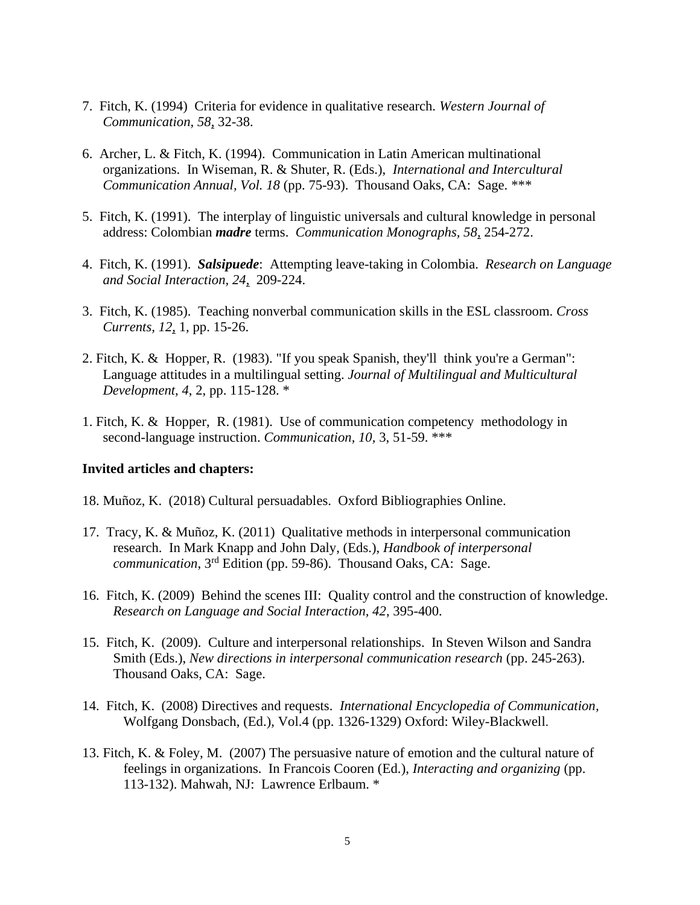- 7. Fitch, K. (1994) Criteria for evidence in qualitative research. *Western Journal of Communication, 58*, 32-38.
- 6. Archer, L. & Fitch, K. (1994). Communication in Latin American multinational organizations. In Wiseman, R. & Shuter, R. (Eds.), *International and Intercultural Communication Annual, Vol. 18* (pp. 75-93). Thousand Oaks, CA: Sage. \*\*\*
- 5. Fitch, K. (1991). The interplay of linguistic universals and cultural knowledge in personal address: Colombian *madre* terms. *Communication Monographs, 58*, 254-272.
- 4. Fitch, K. (1991). *Salsipuede*: Attempting leave-taking in Colombia. *Research on Language and Social Interaction, 24*, 209-224.
- 3. Fitch, K. (1985). Teaching nonverbal communication skills in the ESL classroom. *Cross Currents, 12*, 1, pp. 15-26.
- 2. Fitch, K. & Hopper, R. (1983). "If you speak Spanish, they'll think you're a German": Language attitudes in a multilingual setting. *Journal of Multilingual and Multicultural Development, 4*, 2, pp. 115-128. \*
- 1. Fitch, K. & Hopper, R. (1981). Use of communication competency methodology in second-language instruction. *Communication, 10,* 3, 51-59. \*\*\*

#### **Invited articles and chapters:**

- 18. Muñoz, K. (2018) Cultural persuadables. Oxford Bibliographies Online.
- 17. Tracy, K. & Muñoz, K. (2011) Qualitative methods in interpersonal communication research. In Mark Knapp and John Daly, (Eds.), *Handbook of interpersonal communication*, 3rd Edition (pp. 59-86). Thousand Oaks, CA: Sage.
- 16. Fitch, K. (2009) Behind the scenes III: Quality control and the construction of knowledge. *Research on Language and Social Interaction, 42*, 395-400.
- 15. Fitch, K. (2009). Culture and interpersonal relationships. In Steven Wilson and Sandra Smith (Eds.), *New directions in interpersonal communication research* (pp. 245-263). Thousand Oaks, CA: Sage.
- 14. Fitch, K. (2008) Directives and requests. *International Encyclopedia of Communication,* Wolfgang Donsbach, (Ed.), Vol.4 (pp. 1326-1329) Oxford: Wiley-Blackwell.
- 13. Fitch, K. & Foley, M. (2007) The persuasive nature of emotion and the cultural nature of feelings in organizations. In Francois Cooren (Ed.), *Interacting and organizing* (pp. 113-132). Mahwah, NJ: Lawrence Erlbaum. \*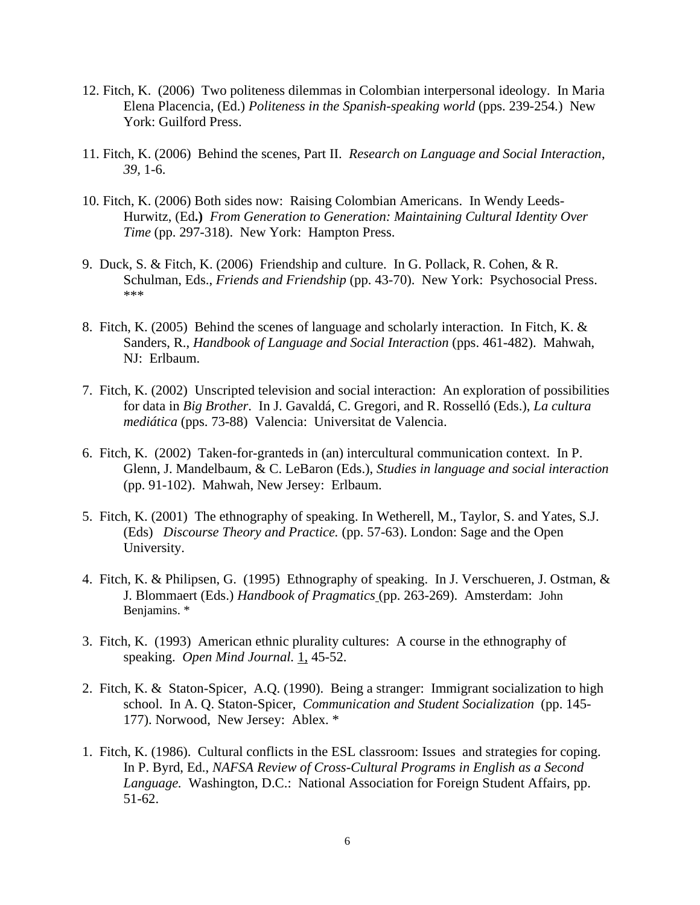- 12. Fitch, K. (2006) Two politeness dilemmas in Colombian interpersonal ideology. In Maria Elena Placencia, (Ed.) *Politeness in the Spanish-speaking world* (pps. 239-254*.*) New York: Guilford Press.
- 11. Fitch, K. (2006) Behind the scenes, Part II. *Research on Language and Social Interaction*, *39,* 1-6.
- 10. Fitch, K. (2006) Both sides now: Raising Colombian Americans. In Wendy Leeds-Hurwitz, (Ed**.)** *From Generation to Generation: Maintaining Cultural Identity Over Time* (pp. 297-318). New York: Hampton Press.
- 9. Duck, S. & Fitch, K. (2006) Friendship and culture. In G. Pollack, R. Cohen, & R. Schulman, Eds., *Friends and Friendship* (pp. 43-70). New York: Psychosocial Press. \*\*\*
- 8. Fitch, K. (2005) Behind the scenes of language and scholarly interaction. In Fitch, K. & Sanders, R., *Handbook of Language and Social Interaction* (pps. 461-482). Mahwah, NJ: Erlbaum.
- 7. Fitch, K. (2002) Unscripted television and social interaction: An exploration of possibilities for data in *Big Brother*. In J. Gavaldá, C. Gregori, and R. Rosselló (Eds.), *La cultura mediática* (pps. 73-88) Valencia: Universitat de Valencia.
- 6. Fitch, K. (2002) Taken-for-granteds in (an) intercultural communication context. In P. Glenn, J. Mandelbaum, & C. LeBaron (Eds.), *Studies in language and social interaction*  (pp. 91-102). Mahwah, New Jersey: Erlbaum.
- 5. Fitch, K. (2001) The ethnography of speaking. In Wetherell, M., Taylor, S. and Yates, S.J. (Eds) *Discourse Theory and Practice.* (pp. 57-63). London: Sage and the Open University.
- 4. Fitch, K. & Philipsen, G. (1995) Ethnography of speaking. In J. Verschueren, J. Ostman, & J. Blommaert (Eds.) *Handbook of Pragmatics* (pp. 263-269). Amsterdam: John Benjamins. \*
- 3. Fitch, K. (1993) American ethnic plurality cultures: A course in the ethnography of speaking. *Open Mind Journal.* 1, 45-52.
- 2. Fitch, K. & Staton-Spicer, A.Q. (1990). Being a stranger: Immigrant socialization to high school. In A. Q. Staton-Spicer, *Communication and Student Socialization* (pp. 145- 177). Norwood, New Jersey: Ablex. \*
- 1. Fitch, K. (1986). Cultural conflicts in the ESL classroom: Issues and strategies for coping. In P. Byrd, Ed., *NAFSA Review of Cross-Cultural Programs in English as a Second Language.* Washington, D.C.: National Association for Foreign Student Affairs, pp. 51-62.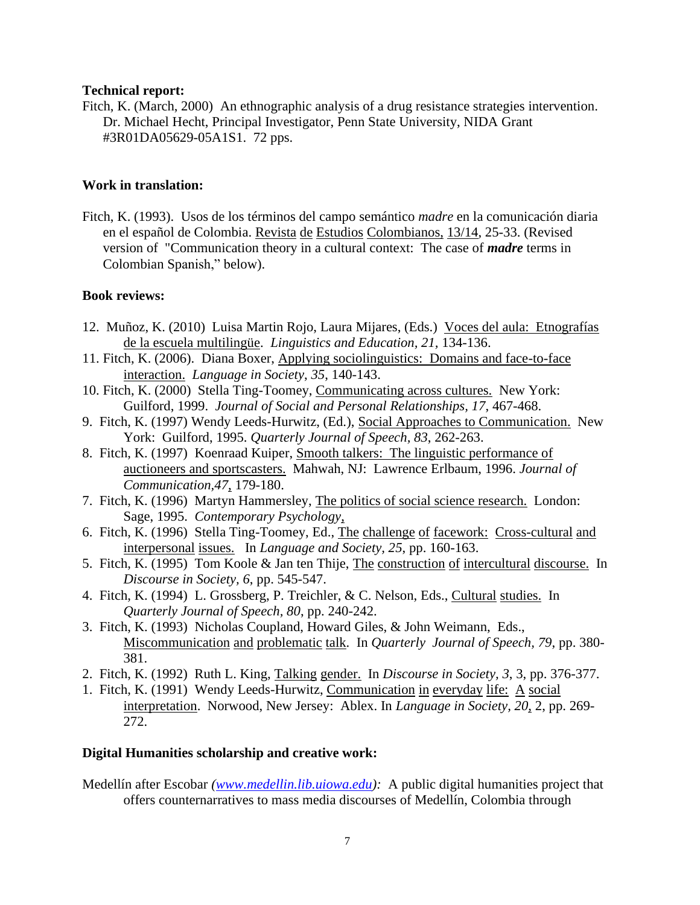## **Technical report:**

Fitch, K. (March, 2000) An ethnographic analysis of a drug resistance strategies intervention. Dr. Michael Hecht, Principal Investigator, Penn State University, NIDA Grant #3R01DA05629-05A1S1. 72 pps.

# **Work in translation:**

Fitch, K. (1993). Usos de los términos del campo semántico *madre* en la comunicación diaria en el español de Colombia. Revista de Estudios Colombianos, 13/14, 25-33. (Revised version of "Communication theory in a cultural context: The case of *madre* terms in Colombian Spanish," below).

## **Book reviews:**

- 12. Muñoz, K. (2010) Luisa Martin Rojo, Laura Mijares, (Eds.) Voces del aula: Etnografías de la escuela multilingüe. *Linguistics and Education, 21,* 134-136.
- 11. Fitch, K. (2006). Diana Boxer, Applying sociolinguistics: Domains and face-to-face interaction. *Language in Society*, *35*, 140-143.
- 10. Fitch, K. (2000) Stella Ting-Toomey, Communicating across cultures. New York: Guilford, 1999. *Journal of Social and Personal Relationships, 17*, 467-468.
- 9. Fitch, K. (1997) Wendy Leeds-Hurwitz, (Ed.), Social Approaches to Communication. New York: Guilford, 1995. *Quarterly Journal of Speech, 83*, 262-263.
- 8. Fitch, K. (1997) Koenraad Kuiper, Smooth talkers: The linguistic performance of auctioneers and sportscasters. Mahwah, NJ: Lawrence Erlbaum, 1996. *Journal of Communication,47*, 179-180.
- 7. Fitch, K. (1996) Martyn Hammersley, The politics of social science research. London: Sage, 1995. *Contemporary Psychology*,
- 6. Fitch, K. (1996) Stella Ting-Toomey, Ed., The challenge of facework: Cross-cultural and interpersonal issues. In *Language and Society, 25*, pp. 160-163.
- 5. Fitch, K. (1995) Tom Koole & Jan ten Thije, The construction of intercultural discourse. In *Discourse in Society, 6*, pp. 545-547.
- 4. Fitch, K. (1994) L. Grossberg, P. Treichler, & C. Nelson, Eds., Cultural studies. In *Quarterly Journal of Speech, 80*, pp. 240-242.
- 3. Fitch, K. (1993) Nicholas Coupland, Howard Giles, & John Weimann, Eds., Miscommunication and problematic talk. In *Quarterly Journal of Speech, 79*, pp. 380- 381.
- 2. Fitch, K. (1992) Ruth L. King, Talking gender. In *Discourse in Society, 3*, 3, pp. 376-377.
- 1. Fitch, K. (1991) Wendy Leeds-Hurwitz, Communication in everyday life: A social interpretation. Norwood, New Jersey: Ablex. In *Language in Society, 20*, 2, pp. 269- 272.

# **Digital Humanities scholarship and creative work:**

Medellín after Escobar *[\(www.medellin.lib.uiowa.edu\)](http://www.medellin.lib.uiowa.edu/):* A public digital humanities project that offers counternarratives to mass media discourses of Medellín, Colombia through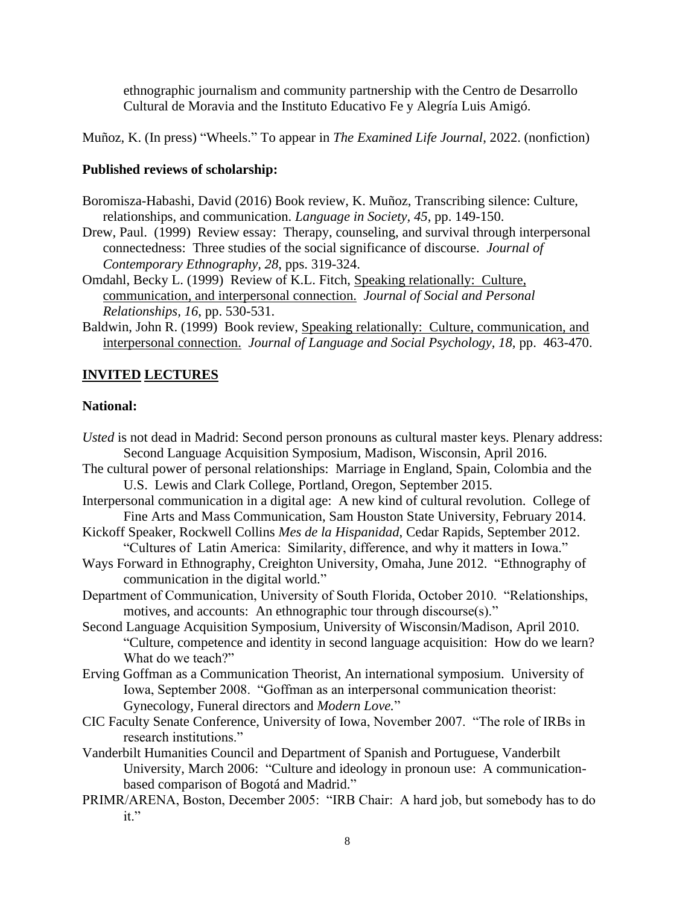ethnographic journalism and community partnership with the Centro de Desarrollo Cultural de Moravia and the Instituto Educativo Fe y Alegría Luis Amigó.

Muñoz, K. (In press) "Wheels." To appear in *The Examined Life Journal*, 2022. (nonfiction)

## **Published reviews of scholarship:**

- Boromisza-Habashi, David (2016) Book review, K. Muñoz, Transcribing silence: Culture, relationships, and communication. *Language in Society, 45*, pp. 149-150.
- Drew, Paul. (1999) Review essay: Therapy, counseling, and survival through interpersonal connectedness: Three studies of the social significance of discourse. *Journal of Contemporary Ethnography, 28*, pps. 319-324.
- Omdahl, Becky L. (1999) Review of K.L. Fitch, Speaking relationally: Culture, communication, and interpersonal connection. *Journal of Social and Personal Relationships, 16*, pp. 530-531.
- Baldwin, John R. (1999) Book review, Speaking relationally: Culture, communication, and interpersonal connection. *Journal of Language and Social Psychology, 18,* pp. 463-470.

## **INVITED LECTURES**

## **National:**

- *Usted* is not dead in Madrid: Second person pronouns as cultural master keys. Plenary address: Second Language Acquisition Symposium, Madison, Wisconsin, April 2016.
- The cultural power of personal relationships: Marriage in England, Spain, Colombia and the U.S. Lewis and Clark College, Portland, Oregon, September 2015.
- Interpersonal communication in a digital age: A new kind of cultural revolution. College of Fine Arts and Mass Communication, Sam Houston State University, February 2014.
- Kickoff Speaker, Rockwell Collins *Mes de la Hispanidad*, Cedar Rapids, September 2012. "Cultures of Latin America: Similarity, difference, and why it matters in Iowa."
- Ways Forward in Ethnography, Creighton University, Omaha, June 2012. "Ethnography of communication in the digital world."
- Department of Communication, University of South Florida, October 2010. "Relationships, motives, and accounts: An ethnographic tour through discourse(s)."
- Second Language Acquisition Symposium, University of Wisconsin/Madison, April 2010. "Culture, competence and identity in second language acquisition: How do we learn? What do we teach?"
- Erving Goffman as a Communication Theorist, An international symposium. University of Iowa, September 2008. "Goffman as an interpersonal communication theorist: Gynecology, Funeral directors and *Modern Love.*"
- CIC Faculty Senate Conference, University of Iowa, November 2007. "The role of IRBs in research institutions."
- Vanderbilt Humanities Council and Department of Spanish and Portuguese, Vanderbilt University, March 2006: "Culture and ideology in pronoun use: A communicationbased comparison of Bogotá and Madrid."
- PRIMR/ARENA, Boston, December 2005: "IRB Chair: A hard job, but somebody has to do it."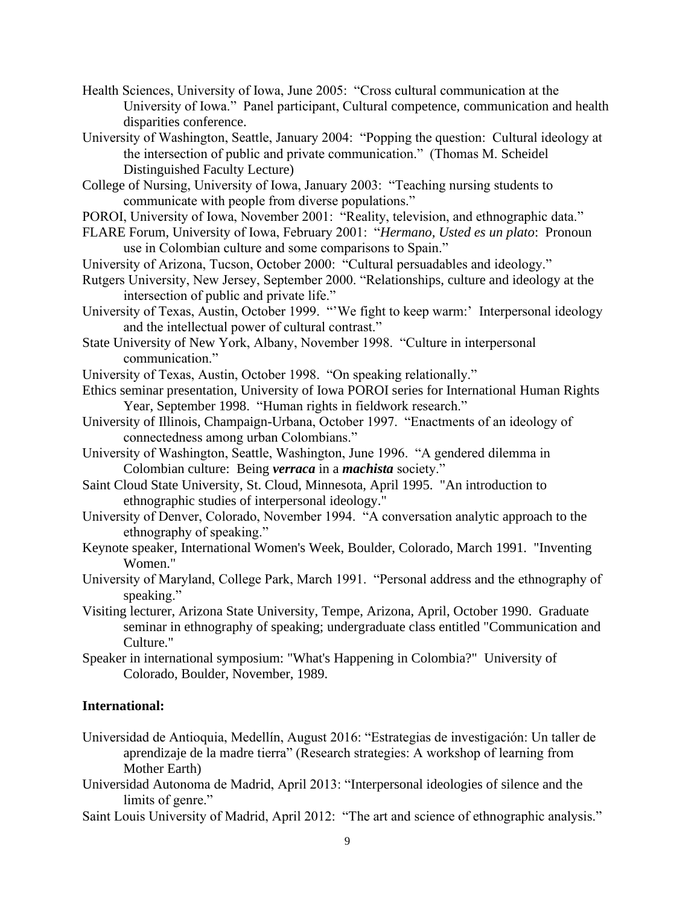- Health Sciences, University of Iowa, June 2005: "Cross cultural communication at the University of Iowa." Panel participant, Cultural competence, communication and health disparities conference.
- University of Washington, Seattle, January 2004: "Popping the question: Cultural ideology at the intersection of public and private communication." (Thomas M. Scheidel Distinguished Faculty Lecture)
- College of Nursing, University of Iowa, January 2003: "Teaching nursing students to communicate with people from diverse populations."
- POROI, University of Iowa, November 2001: "Reality, television, and ethnographic data."
- FLARE Forum, University of Iowa, February 2001: "*Hermano, Usted es un plato*: Pronoun use in Colombian culture and some comparisons to Spain."
- University of Arizona, Tucson, October 2000: "Cultural persuadables and ideology."
- Rutgers University, New Jersey, September 2000. "Relationships, culture and ideology at the intersection of public and private life."
- University of Texas, Austin, October 1999. "'We fight to keep warm:' Interpersonal ideology and the intellectual power of cultural contrast."
- State University of New York, Albany, November 1998. "Culture in interpersonal communication."
- University of Texas, Austin, October 1998. "On speaking relationally."
- Ethics seminar presentation, University of Iowa POROI series for International Human Rights Year, September 1998. "Human rights in fieldwork research."
- University of Illinois, Champaign-Urbana, October 1997. "Enactments of an ideology of connectedness among urban Colombians."
- University of Washington, Seattle, Washington, June 1996. "A gendered dilemma in Colombian culture: Being *verraca* in a *machista* society."
- Saint Cloud State University, St. Cloud, Minnesota, April 1995. "An introduction to ethnographic studies of interpersonal ideology."
- University of Denver, Colorado, November 1994. "A conversation analytic approach to the ethnography of speaking."
- Keynote speaker, International Women's Week, Boulder, Colorado, March 1991. "Inventing Women."
- University of Maryland, College Park, March 1991. "Personal address and the ethnography of speaking."
- Visiting lecturer, Arizona State University, Tempe, Arizona, April, October 1990. Graduate seminar in ethnography of speaking; undergraduate class entitled "Communication and Culture."
- Speaker in international symposium: "What's Happening in Colombia?" University of Colorado, Boulder, November, 1989.

## **International:**

- Universidad de Antioquia, Medellín, August 2016: "Estrategias de investigación: Un taller de aprendizaje de la madre tierra" (Research strategies: A workshop of learning from Mother Earth)
- Universidad Autonoma de Madrid, April 2013: "Interpersonal ideologies of silence and the limits of genre."
- Saint Louis University of Madrid, April 2012: "The art and science of ethnographic analysis."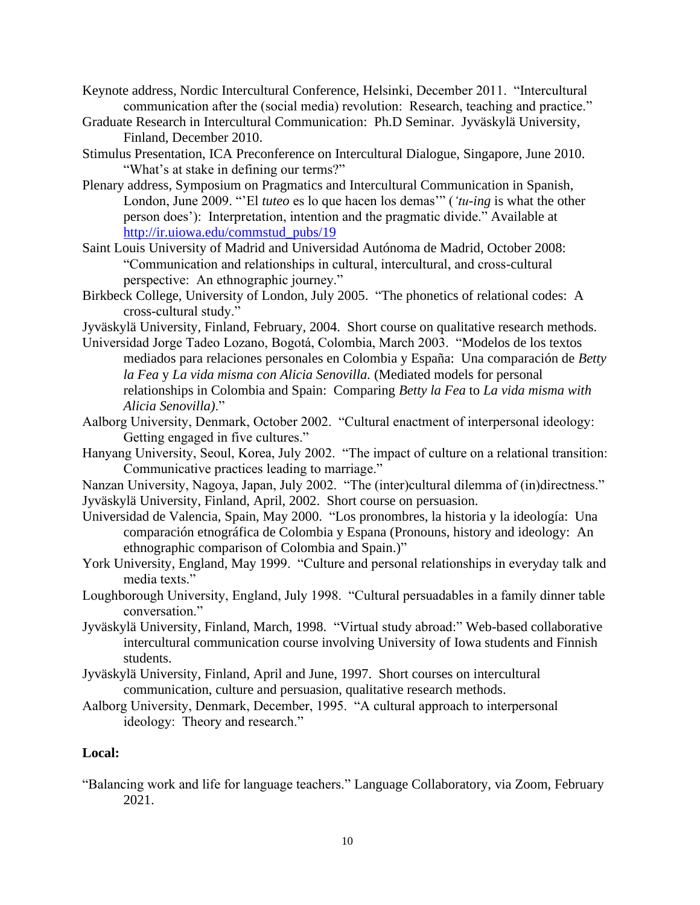- Keynote address, Nordic Intercultural Conference, Helsinki, December 2011. "Intercultural communication after the (social media) revolution: Research, teaching and practice."
- Graduate Research in Intercultural Communication: Ph.D Seminar. Jyväskylä University, Finland, December 2010.
- Stimulus Presentation, ICA Preconference on Intercultural Dialogue, Singapore, June 2010. "What's at stake in defining our terms?"
- Plenary address, Symposium on Pragmatics and Intercultural Communication in Spanish, London, June 2009. "'El *tuteo* es lo que hacen los demas'" (*'tu-ing* is what the other person does'): Interpretation, intention and the pragmatic divide." Available at [http://ir.uiowa.edu/commstud\\_pubs/19](http://ir.uiowa.edu/commstud_pubs/19)
- Saint Louis University of Madrid and Universidad Autónoma de Madrid, October 2008: "Communication and relationships in cultural, intercultural, and cross-cultural perspective: An ethnographic journey."
- Birkbeck College, University of London, July 2005. "The phonetics of relational codes: A cross-cultural study."
- Jyväskylä University, Finland, February, 2004. Short course on qualitative research methods.
- Universidad Jorge Tadeo Lozano, Bogotá, Colombia, March 2003. "Modelos de los textos mediados para relaciones personales en Colombia y España: Una comparación de *Betty la Fea* y *La vida misma con Alicia Senovilla.* (Mediated models for personal relationships in Colombia and Spain: Comparing *Betty la Fea* to *La vida misma with Alicia Senovilla)*."
- Aalborg University, Denmark, October 2002. "Cultural enactment of interpersonal ideology: Getting engaged in five cultures."
- Hanyang University, Seoul, Korea, July 2002. "The impact of culture on a relational transition: Communicative practices leading to marriage."
- Nanzan University, Nagoya, Japan, July 2002. "The (inter)cultural dilemma of (in)directness." Jyväskylä University, Finland, April, 2002. Short course on persuasion.
- Universidad de Valencia, Spain, May 2000. "Los pronombres, la historia y la ideología: Una comparación etnográfica de Colombia y Espana (Pronouns, history and ideology: An ethnographic comparison of Colombia and Spain.)"
- York University, England, May 1999. "Culture and personal relationships in everyday talk and media texts."
- Loughborough University, England, July 1998. "Cultural persuadables in a family dinner table conversation."
- Jyväskylä University, Finland, March, 1998. "Virtual study abroad:" Web-based collaborative intercultural communication course involving University of Iowa students and Finnish students.
- Jyväskylä University, Finland, April and June, 1997. Short courses on intercultural communication, culture and persuasion, qualitative research methods.
- Aalborg University, Denmark, December, 1995. "A cultural approach to interpersonal ideology: Theory and research."

## **Local:**

"Balancing work and life for language teachers." Language Collaboratory, via Zoom, February 2021.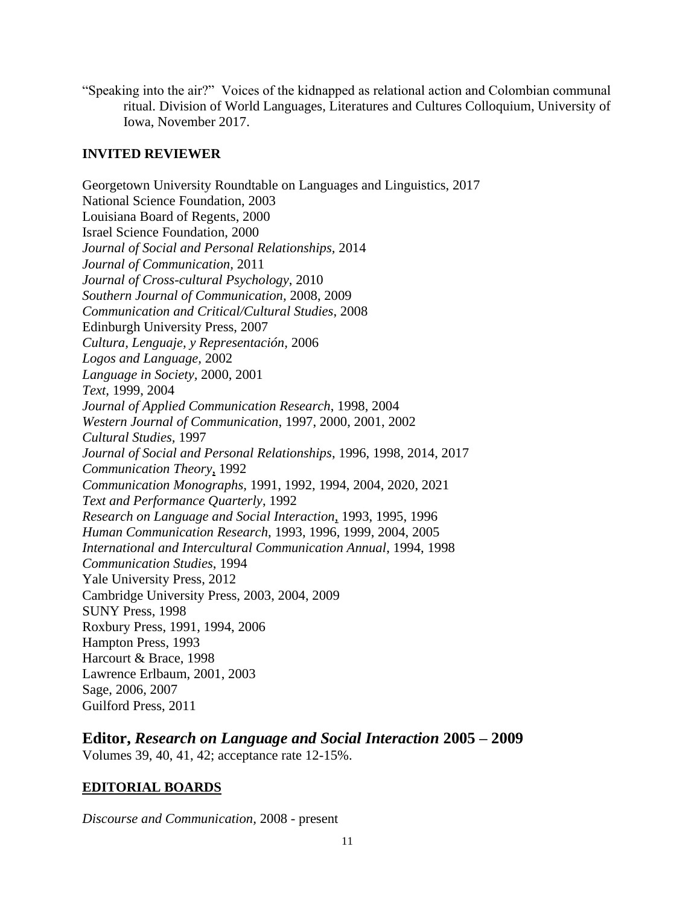"Speaking into the air?" Voices of the kidnapped as relational action and Colombian communal ritual. Division of World Languages, Literatures and Cultures Colloquium, University of Iowa, November 2017.

# **INVITED REVIEWER**

Georgetown University Roundtable on Languages and Linguistics, 2017 National Science Foundation, 2003 Louisiana Board of Regents, 2000 Israel Science Foundation, 2000 *Journal of Social and Personal Relationships,* 2014 *Journal of Communication,* 2011 *Journal of Cross-cultural Psychology*, 2010 *Southern Journal of Communication,* 2008, 2009 *Communication and Critical/Cultural Studies*, 2008 Edinburgh University Press, 2007 *Cultura, Lenguaje, y Representación,* 2006 *Logos and Language,* 2002 *Language in Society,* 2000, 2001 *Text,* 1999, 2004 *Journal of Applied Communication Research*, 1998, 2004 *Western Journal of Communication*, 1997, 2000, 2001, 2002 *Cultural Studies,* 1997 *Journal of Social and Personal Relationships*, 1996, 1998, 2014, 2017 *Communication Theory*, 1992 *Communication Monographs,* 1991, 1992, 1994, 2004, 2020, 2021 *Text and Performance Quarterly*, 1992 *Research on Language and Social Interaction*, 1993, 1995, 1996 *Human Communication Research*, 1993, 1996, 1999, 2004, 2005 *International and Intercultural Communication Annual*, 1994, 1998 *Communication Studies*, 1994 Yale University Press, 2012 Cambridge University Press, 2003, 2004, 2009 SUNY Press, 1998 Roxbury Press, 1991, 1994, 2006 Hampton Press, 1993 Harcourt & Brace, 1998 Lawrence Erlbaum, 2001, 2003 Sage, 2006, 2007 Guilford Press, 2011

**Editor,** *Research on Language and Social Interaction* **2005 – 2009** Volumes 39, 40, 41, 42; acceptance rate 12-15%.

# **EDITORIAL BOARDS**

*Discourse and Communication,* 2008 - present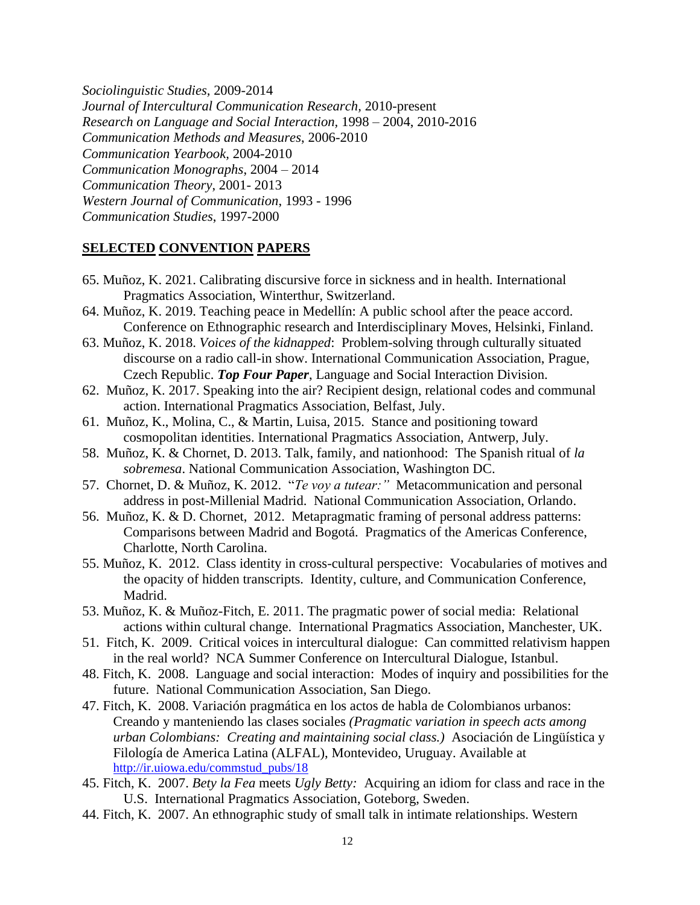*Sociolinguistic Studies,* 2009-2014 *Journal of Intercultural Communication Research,* 2010-present *Research on Language and Social Interaction,* 1998 – 2004, 2010-2016 *Communication Methods and Measures*, 2006-2010 *Communication Yearbook,* 2004-2010 *Communication Monographs*, 2004 – 2014 *Communication Theory*, 2001- 2013 *Western Journal of Communication*, 1993 - 1996 *Communication Studies*, 1997-2000

## **SELECTED CONVENTION PAPERS**

- 65. Muñoz, K. 2021. Calibrating discursive force in sickness and in health. International Pragmatics Association, Winterthur, Switzerland.
- 64. Muñoz, K. 2019. Teaching peace in Medellín: A public school after the peace accord. Conference on Ethnographic research and Interdisciplinary Moves, Helsinki, Finland.
- 63. Muñoz, K. 2018. *Voices of the kidnapped*: Problem-solving through culturally situated discourse on a radio call-in show. International Communication Association, Prague, Czech Republic. *Top Four Paper*, Language and Social Interaction Division.
- 62. Muñoz, K. 2017. Speaking into the air? Recipient design, relational codes and communal action. International Pragmatics Association, Belfast, July.
- 61. Muñoz, K., Molina, C., & Martin, Luisa, 2015. Stance and positioning toward cosmopolitan identities. International Pragmatics Association, Antwerp, July.
- 58. Muñoz, K. & Chornet, D. 2013. Talk, family, and nationhood: The Spanish ritual of *la sobremesa*. National Communication Association, Washington DC.
- 57. Chornet, D. & Muñoz, K. 2012. "*Te voy a tutear:"* Metacommunication and personal address in post-Millenial Madrid. National Communication Association, Orlando.
- 56. Muñoz, K. & D. Chornet, 2012. Metapragmatic framing of personal address patterns: Comparisons between Madrid and Bogotá. Pragmatics of the Americas Conference, Charlotte, North Carolina.
- 55. Muñoz, K. 2012. Class identity in cross-cultural perspective: Vocabularies of motives and the opacity of hidden transcripts. Identity, culture, and Communication Conference, Madrid.
- 53. Muñoz, K. & Muñoz-Fitch, E. 2011. The pragmatic power of social media: Relational actions within cultural change. International Pragmatics Association, Manchester, UK.
- 51. Fitch, K. 2009. Critical voices in intercultural dialogue: Can committed relativism happen in the real world? NCA Summer Conference on Intercultural Dialogue, Istanbul.
- 48. Fitch, K. 2008. Language and social interaction: Modes of inquiry and possibilities for the future. National Communication Association, San Diego.
- 47. Fitch, K. 2008. Variación pragmática en los actos de habla de Colombianos urbanos: Creando y manteniendo las clases sociales *(Pragmatic variation in speech acts among urban Colombians: Creating and maintaining social class.)* Asociación de Lingüística y Filología de America Latina (ALFAL), Montevideo, Uruguay. Available at [http://ir.uiowa.edu/commstud\\_pubs/18](http://ir.uiowa.edu/commstud_pubs/18)
- 45. Fitch, K. 2007. *Bety la Fea* meets *Ugly Betty:* Acquiring an idiom for class and race in the U.S. International Pragmatics Association, Goteborg, Sweden.
- 44. Fitch, K. 2007. An ethnographic study of small talk in intimate relationships. Western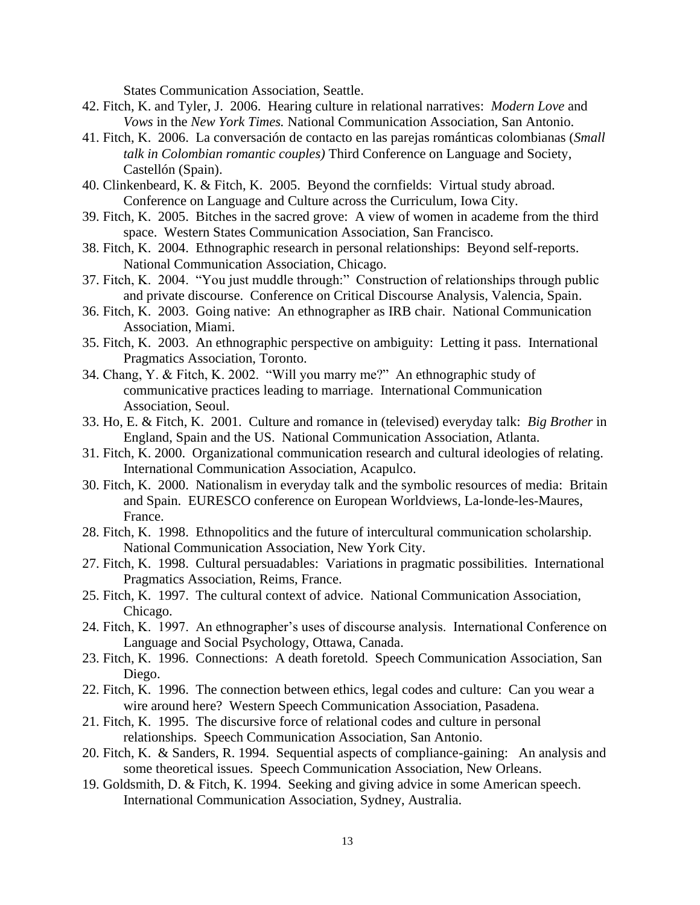States Communication Association, Seattle.

- 42. Fitch, K. and Tyler, J. 2006. Hearing culture in relational narratives: *Modern Love* and *Vows* in the *New York Times.* National Communication Association, San Antonio.
- 41. Fitch, K. 2006. La conversación de contacto en las parejas románticas colombianas (*Small talk in Colombian romantic couples)* Third Conference on Language and Society, Castellón (Spain).
- 40. Clinkenbeard, K. & Fitch, K. 2005. Beyond the cornfields: Virtual study abroad. Conference on Language and Culture across the Curriculum, Iowa City.
- 39. Fitch, K. 2005. Bitches in the sacred grove: A view of women in academe from the third space. Western States Communication Association, San Francisco.
- 38. Fitch, K. 2004. Ethnographic research in personal relationships: Beyond self-reports. National Communication Association, Chicago.
- 37. Fitch, K. 2004. "You just muddle through:" Construction of relationships through public and private discourse. Conference on Critical Discourse Analysis, Valencia, Spain.
- 36. Fitch, K. 2003. Going native: An ethnographer as IRB chair. National Communication Association, Miami.
- 35. Fitch, K. 2003. An ethnographic perspective on ambiguity: Letting it pass. International Pragmatics Association, Toronto.
- 34. Chang, Y. & Fitch, K. 2002. "Will you marry me?" An ethnographic study of communicative practices leading to marriage. International Communication Association, Seoul.
- 33. Ho, E. & Fitch, K. 2001. Culture and romance in (televised) everyday talk: *Big Brother* in England, Spain and the US. National Communication Association, Atlanta.
- 31. Fitch, K. 2000. Organizational communication research and cultural ideologies of relating. International Communication Association, Acapulco.
- 30. Fitch, K. 2000. Nationalism in everyday talk and the symbolic resources of media: Britain and Spain. EURESCO conference on European Worldviews, La-londe-les-Maures, France.
- 28. Fitch, K. 1998. Ethnopolitics and the future of intercultural communication scholarship. National Communication Association, New York City.
- 27. Fitch, K. 1998. Cultural persuadables: Variations in pragmatic possibilities. International Pragmatics Association, Reims, France.
- 25. Fitch, K. 1997. The cultural context of advice. National Communication Association, Chicago.
- 24. Fitch, K. 1997. An ethnographer's uses of discourse analysis. International Conference on Language and Social Psychology, Ottawa, Canada.
- 23. Fitch, K. 1996. Connections: A death foretold. Speech Communication Association, San Diego.
- 22. Fitch, K. 1996. The connection between ethics, legal codes and culture: Can you wear a wire around here? Western Speech Communication Association, Pasadena.
- 21. Fitch, K. 1995. The discursive force of relational codes and culture in personal relationships. Speech Communication Association, San Antonio.
- 20. Fitch, K. & Sanders, R. 1994. Sequential aspects of compliance-gaining: An analysis and some theoretical issues. Speech Communication Association, New Orleans.
- 19. Goldsmith, D. & Fitch, K. 1994. Seeking and giving advice in some American speech. International Communication Association, Sydney, Australia.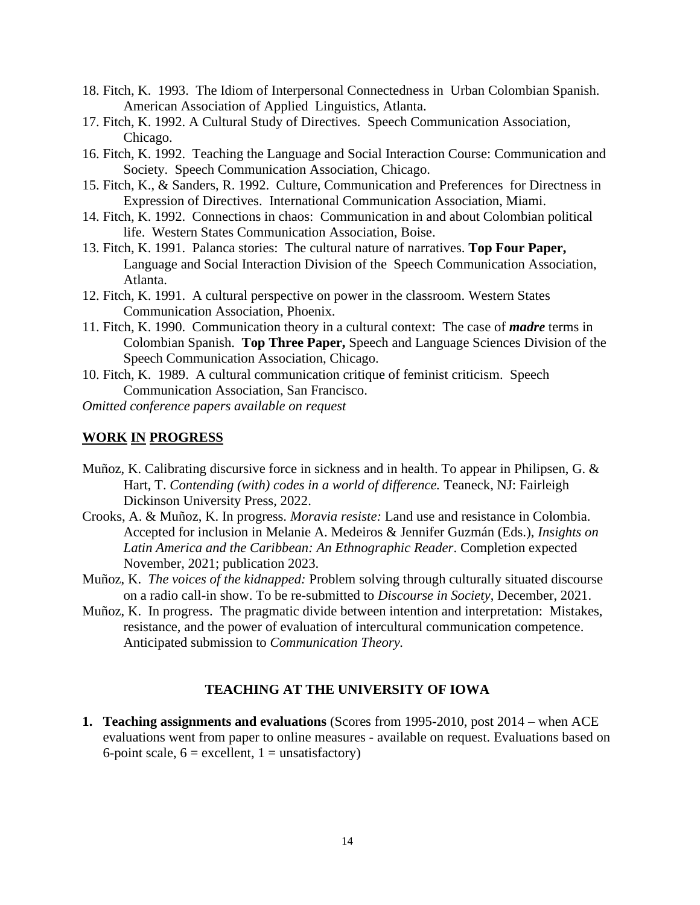- 18. Fitch, K. 1993. The Idiom of Interpersonal Connectedness in Urban Colombian Spanish. American Association of Applied Linguistics, Atlanta.
- 17. Fitch, K. 1992. A Cultural Study of Directives. Speech Communication Association, Chicago.
- 16. Fitch, K. 1992. Teaching the Language and Social Interaction Course: Communication and Society. Speech Communication Association, Chicago.
- 15. Fitch, K., & Sanders, R. 1992. Culture, Communication and Preferences for Directness in Expression of Directives. International Communication Association, Miami.
- 14. Fitch, K. 1992. Connections in chaos: Communication in and about Colombian political life. Western States Communication Association, Boise.
- 13. Fitch, K. 1991. Palanca stories: The cultural nature of narratives. **Top Four Paper,** Language and Social Interaction Division of the Speech Communication Association, Atlanta.
- 12. Fitch, K. 1991. A cultural perspective on power in the classroom. Western States Communication Association, Phoenix.
- 11. Fitch, K. 1990. Communication theory in a cultural context: The case of *madre* terms in Colombian Spanish. **Top Three Paper,** Speech and Language Sciences Division of the Speech Communication Association, Chicago.
- 10. Fitch, K. 1989. A cultural communication critique of feminist criticism. Speech Communication Association, San Francisco.

*Omitted conference papers available on request*

# **WORK IN PROGRESS**

- Muñoz, K. Calibrating discursive force in sickness and in health. To appear in Philipsen, G. & Hart, T. *Contending (with) codes in a world of difference.* Teaneck, NJ: Fairleigh Dickinson University Press, 2022.
- Crooks, A. & Muñoz, K. In progress. *Moravia resiste:* Land use and resistance in Colombia. Accepted for inclusion in Melanie A. Medeiros & Jennifer Guzmán (Eds.), *Insights on Latin America and the Caribbean: An Ethnographic Reader*. Completion expected November, 2021; publication 2023.
- Muñoz, K. *The voices of the kidnapped:* Problem solving through culturally situated discourse on a radio call-in show. To be re-submitted to *Discourse in Society*, December, 2021.
- Muñoz, K. In progress. The pragmatic divide between intention and interpretation: Mistakes, resistance, and the power of evaluation of intercultural communication competence. Anticipated submission to *Communication Theory.*

# **TEACHING AT THE UNIVERSITY OF IOWA**

**1. Teaching assignments and evaluations** (Scores from 1995-2010, post 2014 – when ACE evaluations went from paper to online measures - available on request. Evaluations based on 6-point scale,  $6 =$  excellent,  $1 =$  unsatisfactory)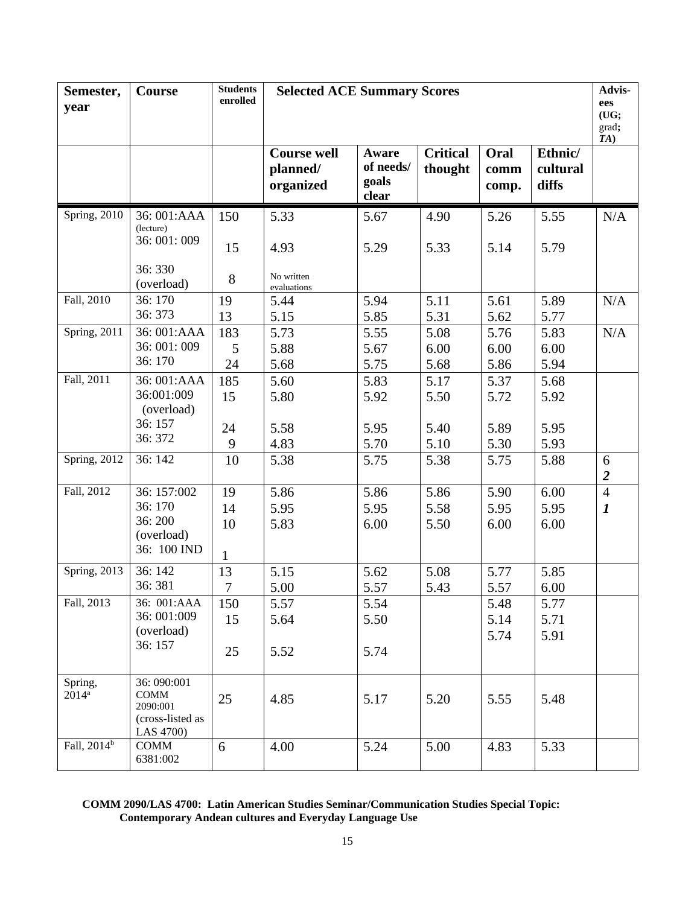| Semester,<br>year         | <b>Course</b>                                                           | <b>Students</b><br>enrolled | <b>Selected ACE Summary Scores</b>          |                                      |                            | Advis-<br>ees<br>(UG;<br>grad;<br>TA) |                              |                     |
|---------------------------|-------------------------------------------------------------------------|-----------------------------|---------------------------------------------|--------------------------------------|----------------------------|---------------------------------------|------------------------------|---------------------|
|                           |                                                                         |                             | <b>Course well</b><br>planned/<br>organized | Aware<br>of needs/<br>goals<br>clear | <b>Critical</b><br>thought | Oral<br>comm<br>comp.                 | Ethnic/<br>cultural<br>diffs |                     |
| Spring, 2010              | 36: 001:AAA<br>(lecture)                                                | 150                         | 5.33                                        | 5.67                                 | 4.90                       | 5.26                                  | 5.55                         | N/A                 |
|                           | 36: 001: 009                                                            | 15                          | 4.93                                        | 5.29                                 | 5.33                       | 5.14                                  | 5.79                         |                     |
|                           | 36:330<br>(overload)                                                    | 8                           | No written<br>evaluations                   |                                      |                            |                                       |                              |                     |
| Fall, 2010                | 36:170                                                                  | 19                          | 5.44                                        | 5.94                                 | 5.11                       | 5.61                                  | 5.89                         | N/A                 |
|                           | 36:373                                                                  | 13                          | 5.15                                        | 5.85                                 | 5.31                       | 5.62                                  | 5.77                         |                     |
| Spring, 2011              | 36: 001:AAA<br>36: 001: 009                                             | 183                         | 5.73                                        | 5.55                                 | 5.08                       | 5.76                                  | 5.83                         | N/A                 |
|                           | 36:170                                                                  | 5                           | 5.88                                        | 5.67                                 | 6.00                       | 6.00                                  | 6.00                         |                     |
| Fall, 2011                | 36: 001:AAA                                                             | 24<br>185                   | 5.68<br>5.60                                | 5.75<br>5.83                         | 5.68<br>5.17               | 5.86<br>5.37                          | 5.94<br>5.68                 |                     |
|                           | 36:001:009                                                              | 15                          | 5.80                                        | 5.92                                 | 5.50                       | 5.72                                  | 5.92                         |                     |
|                           | (overload)                                                              |                             |                                             |                                      |                            |                                       |                              |                     |
|                           | 36:157                                                                  | 24                          | 5.58                                        | 5.95                                 | 5.40                       | 5.89                                  | 5.95                         |                     |
|                           | 36:372                                                                  | 9                           | 4.83                                        | 5.70                                 | 5.10                       | 5.30                                  | 5.93                         |                     |
| Spring, 2012              | 36:142                                                                  | 10                          | 5.38                                        | 5.75                                 | 5.38                       | 5.75                                  | 5.88                         | 6<br>$\overline{2}$ |
| Fall, 2012                | 36: 157:002                                                             | 19                          | 5.86                                        | 5.86                                 | 5.86                       | 5.90                                  | 6.00                         | $\overline{4}$      |
|                           | 36:170                                                                  | 14                          | 5.95                                        | 5.95                                 | 5.58                       | 5.95                                  | 5.95                         | $\boldsymbol{l}$    |
|                           | 36:200                                                                  | 10                          | 5.83                                        | 6.00                                 | 5.50                       | 6.00                                  | 6.00                         |                     |
|                           | (overload)<br>36: 100 IND                                               | 1                           |                                             |                                      |                            |                                       |                              |                     |
| Spring, 2013              | 36:142                                                                  | 13                          | 5.15                                        | 5.62                                 | 5.08                       | 5.77                                  | 5.85                         |                     |
|                           | 36:381                                                                  | 7                           | 5.00                                        | 5.57                                 | 5.43                       | 5.57                                  | 6.00                         |                     |
| Fall, 2013                | 36: 001:AAA                                                             | 150                         | 5.57                                        | 5.54                                 |                            | 5.48                                  | 5.77                         |                     |
|                           | 36: 001:009<br>(overload)                                               | 15                          | 5.64                                        | 5.50                                 |                            | 5.14                                  | 5.71                         |                     |
|                           | 36:157                                                                  | 25                          | 5.52                                        | 5.74                                 |                            | 5.74                                  | 5.91                         |                     |
| Spring,<br>$2014^{\rm a}$ | 36: 090:001<br><b>COMM</b><br>2090:001<br>(cross-listed as<br>LAS 4700) | 25                          | 4.85                                        | 5.17                                 | 5.20                       | 5.55                                  | 5.48                         |                     |
| Fall, 2014 <sup>b</sup>   | <b>COMM</b><br>6381:002                                                 | 6                           | 4.00                                        | 5.24                                 | 5.00                       | 4.83                                  | 5.33                         |                     |

#### **COMM 2090/LAS 4700: Latin American Studies Seminar/Communication Studies Special Topic: Contemporary Andean cultures and Everyday Language Use**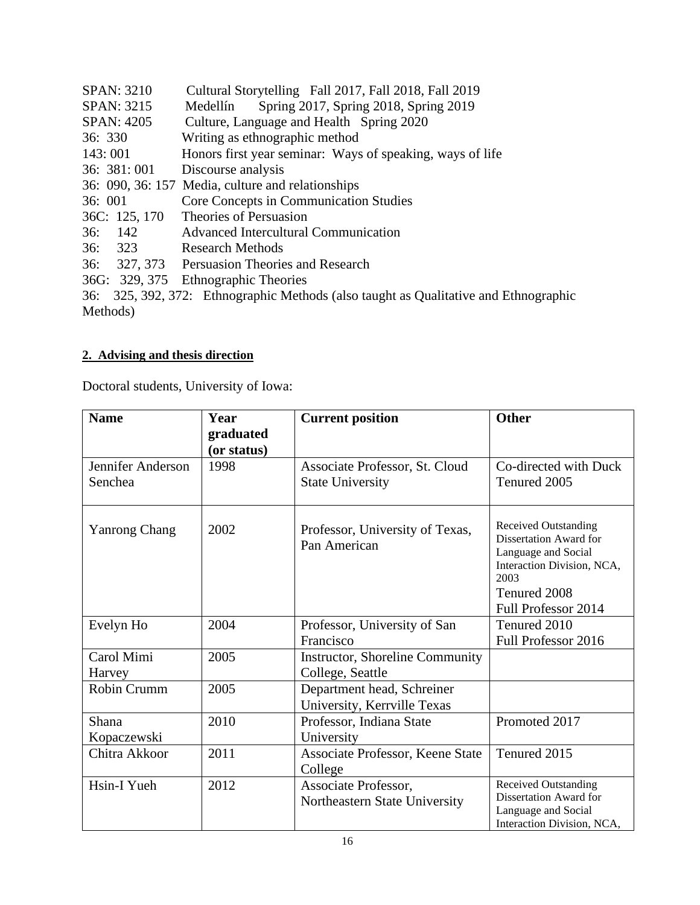| <b>SPAN: 3210</b>                      | Cultural Storytelling Fall 2017, Fall 2018, Fall 2019                                |
|----------------------------------------|--------------------------------------------------------------------------------------|
| <b>SPAN: 3215</b>                      | Spring 2017, Spring 2018, Spring 2019<br>Medellín                                    |
| SPAN: 4205                             | Culture, Language and Health Spring 2020                                             |
| 36:330                                 | Writing as ethnographic method                                                       |
| 143:001                                | Honors first year seminar: Ways of speaking, ways of life                            |
| 36: 381:001                            | Discourse analysis                                                                   |
|                                        | 36: 090, 36: 157 Media, culture and relationships                                    |
| 36:001                                 | Core Concepts in Communication Studies                                               |
| 36C: 125, 170                          | Theories of Persuasion                                                               |
| 36: 142                                | Advanced Intercultural Communication                                                 |
| 36: 323                                | <b>Research Methods</b>                                                              |
| 36:                                    | 327, 373 Persuasion Theories and Research                                            |
|                                        | 36G: 329, 375 Ethnographic Theories                                                  |
|                                        | 36: 325, 392, 372: Ethnographic Methods (also taught as Qualitative and Ethnographic |
| $\mathbf{M}$ $\mathbf{I}$ $\mathbf{I}$ |                                                                                      |

Methods)

# **2. Advising and thesis direction**

Doctoral students, University of Iowa:

| <b>Name</b>                  | Year<br>graduated | <b>Current position</b>                                   | <b>Other</b>                                                                                                                                              |
|------------------------------|-------------------|-----------------------------------------------------------|-----------------------------------------------------------------------------------------------------------------------------------------------------------|
|                              | (or status)       |                                                           |                                                                                                                                                           |
| Jennifer Anderson<br>Senchea | 1998              | Associate Professor, St. Cloud<br><b>State University</b> | Co-directed with Duck<br>Tenured 2005                                                                                                                     |
| <b>Yanrong Chang</b>         | 2002              | Professor, University of Texas,<br>Pan American           | <b>Received Outstanding</b><br>Dissertation Award for<br>Language and Social<br>Interaction Division, NCA,<br>2003<br>Tenured 2008<br>Full Professor 2014 |
| Evelyn Ho                    | 2004              | Professor, University of San                              | Tenured 2010                                                                                                                                              |
|                              |                   | Francisco                                                 | Full Professor 2016                                                                                                                                       |
| Carol Mimi                   | 2005              | <b>Instructor, Shoreline Community</b>                    |                                                                                                                                                           |
| Harvey                       |                   | College, Seattle                                          |                                                                                                                                                           |
| Robin Crumm                  | 2005              | Department head, Schreiner<br>University, Kerrville Texas |                                                                                                                                                           |
| Shana                        | 2010              | Professor, Indiana State                                  | Promoted 2017                                                                                                                                             |
| Kopaczewski                  |                   | University                                                |                                                                                                                                                           |
| Chitra Akkoor                | 2011              | Associate Professor, Keene State<br>College               | Tenured 2015                                                                                                                                              |
| Hsin-I Yueh                  | 2012              | Associate Professor,                                      | <b>Received Outstanding</b>                                                                                                                               |
|                              |                   | Northeastern State University                             | Dissertation Award for<br>Language and Social<br>Interaction Division, NCA,                                                                               |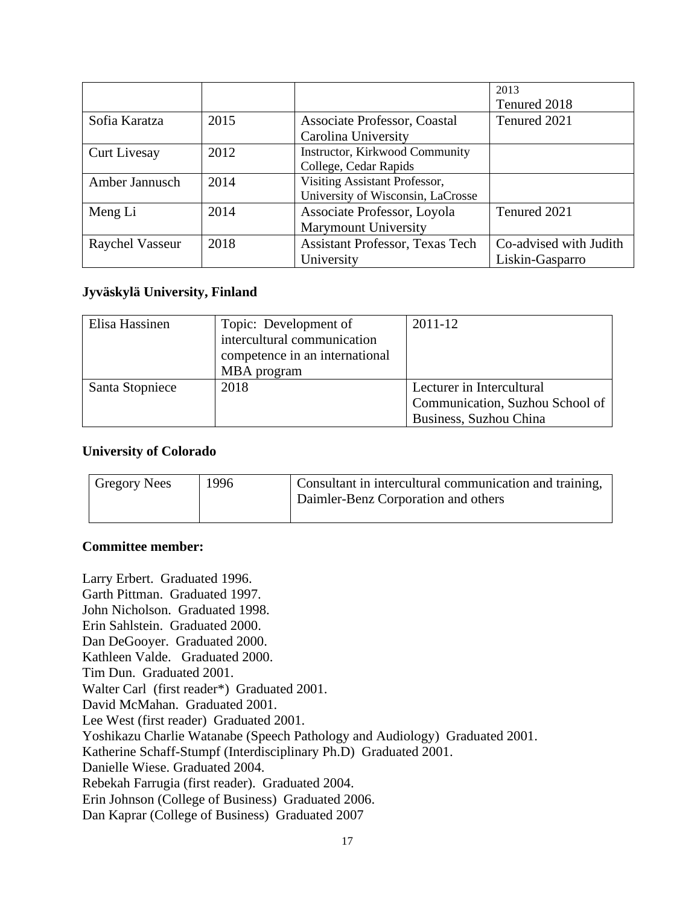|                     |      |                                   | 2013                   |
|---------------------|------|-----------------------------------|------------------------|
|                     |      |                                   | Tenured 2018           |
| Sofia Karatza       | 2015 | Associate Professor, Coastal      | Tenured 2021           |
|                     |      | Carolina University               |                        |
| <b>Curt Livesay</b> | 2012 | Instructor, Kirkwood Community    |                        |
|                     |      | College, Cedar Rapids             |                        |
| Amber Jannusch      | 2014 | Visiting Assistant Professor,     |                        |
|                     |      | University of Wisconsin, LaCrosse |                        |
| Meng Li             | 2014 | Associate Professor, Loyola       | Tenured 2021           |
|                     |      | <b>Marymount University</b>       |                        |
| Raychel Vasseur     | 2018 | Assistant Professor, Texas Tech   | Co-advised with Judith |
|                     |      | University                        | Liskin-Gasparro        |

# **Jyväskylä University, Finland**

| Elisa Hassinen  | Topic: Development of          | 2011-12                         |
|-----------------|--------------------------------|---------------------------------|
|                 | intercultural communication    |                                 |
|                 | competence in an international |                                 |
|                 | MBA program                    |                                 |
| Santa Stopniece | 2018                           | Lecturer in Intercultural       |
|                 |                                | Communication, Suzhou School of |
|                 |                                | Business, Suzhou China          |

## **University of Colorado**

| <b>Gregory Nees</b> | 1996 | Consultant in intercultural communication and training,<br>Daimler-Benz Corporation and others |
|---------------------|------|------------------------------------------------------------------------------------------------|
|---------------------|------|------------------------------------------------------------------------------------------------|

# **Committee member:**

Larry Erbert. Graduated 1996. Garth Pittman. Graduated 1997. John Nicholson. Graduated 1998. Erin Sahlstein. Graduated 2000. Dan DeGooyer. Graduated 2000. Kathleen Valde. Graduated 2000. Tim Dun. Graduated 2001. Walter Carl (first reader\*) Graduated 2001. David McMahan. Graduated 2001. Lee West (first reader) Graduated 2001. Yoshikazu Charlie Watanabe (Speech Pathology and Audiology) Graduated 2001. Katherine Schaff-Stumpf (Interdisciplinary Ph.D) Graduated 2001. Danielle Wiese. Graduated 2004. Rebekah Farrugia (first reader). Graduated 2004. Erin Johnson (College of Business) Graduated 2006. Dan Kaprar (College of Business) Graduated 2007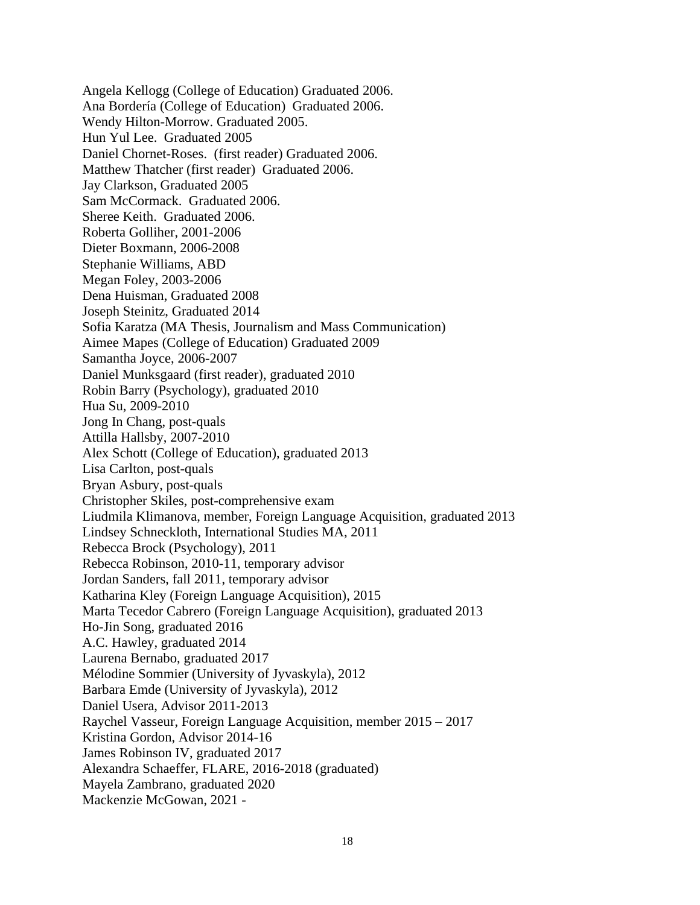Angela Kellogg (College of Education) Graduated 2006. Ana Bordería (College of Education) Graduated 2006. Wendy Hilton-Morrow. Graduated 2005. Hun Yul Lee. Graduated 2005 Daniel Chornet-Roses. (first reader) Graduated 2006. Matthew Thatcher (first reader) Graduated 2006. Jay Clarkson, Graduated 2005 Sam McCormack. Graduated 2006. Sheree Keith. Graduated 2006. Roberta Golliher, 2001-2006 Dieter Boxmann, 2006-2008 Stephanie Williams, ABD Megan Foley, 2003-2006 Dena Huisman, Graduated 2008 Joseph Steinitz, Graduated 2014 Sofia Karatza (MA Thesis, Journalism and Mass Communication) Aimee Mapes (College of Education) Graduated 2009 Samantha Joyce, 2006-2007 Daniel Munksgaard (first reader), graduated 2010 Robin Barry (Psychology), graduated 2010 Hua Su, 2009-2010 Jong In Chang, post-quals Attilla Hallsby, 2007-2010 Alex Schott (College of Education), graduated 2013 Lisa Carlton, post-quals Bryan Asbury, post-quals Christopher Skiles, post-comprehensive exam Liudmila Klimanova, member, Foreign Language Acquisition, graduated 2013 Lindsey Schneckloth, International Studies MA, 2011 Rebecca Brock (Psychology), 2011 Rebecca Robinson, 2010-11, temporary advisor Jordan Sanders, fall 2011, temporary advisor Katharina Kley (Foreign Language Acquisition), 2015 Marta Tecedor Cabrero (Foreign Language Acquisition), graduated 2013 Ho-Jin Song, graduated 2016 A.C. Hawley, graduated 2014 Laurena Bernabo, graduated 2017 Mélodine Sommier (University of Jyvaskyla), 2012 Barbara Emde (University of Jyvaskyla), 2012 Daniel Usera, Advisor 2011-2013 Raychel Vasseur, Foreign Language Acquisition, member 2015 – 2017 Kristina Gordon, Advisor 2014-16 James Robinson IV, graduated 2017 Alexandra Schaeffer, FLARE, 2016-2018 (graduated) Mayela Zambrano, graduated 2020 Mackenzie McGowan, 2021 -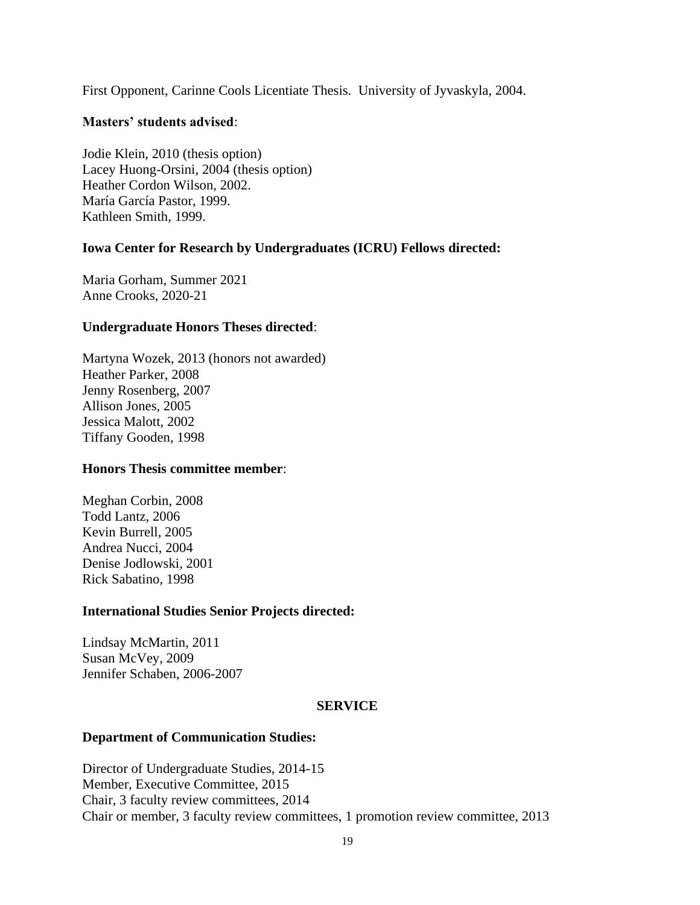First Opponent, Carinne Cools Licentiate Thesis. University of Jyvaskyla, 2004.

# **Masters' students advised**:

Jodie Klein, 2010 (thesis option) Lacey Huong-Orsini, 2004 (thesis option) Heather Cordon Wilson, 2002. María García Pastor, 1999. Kathleen Smith, 1999.

# **Iowa Center for Research by Undergraduates (ICRU) Fellows directed:**

Maria Gorham, Summer 2021 Anne Crooks, 2020-21

## **Undergraduate Honors Theses directed**:

Martyna Wozek, 2013 (honors not awarded) Heather Parker, 2008 Jenny Rosenberg, 2007 Allison Jones, 2005 Jessica Malott, 2002 Tiffany Gooden, 1998

## **Honors Thesis committee member**:

Meghan Corbin, 2008 Todd Lantz, 2006 Kevin Burrell, 2005 Andrea Nucci, 2004 Denise Jodlowski, 2001 Rick Sabatino, 1998

# **International Studies Senior Projects directed:**

Lindsay McMartin, 2011 Susan McVey, 2009 Jennifer Schaben, 2006-2007

# **SERVICE**

## **Department of Communication Studies:**

Director of Undergraduate Studies, 2014-15 Member, Executive Committee, 2015 Chair, 3 faculty review committees, 2014 Chair or member, 3 faculty review committees, 1 promotion review committee, 2013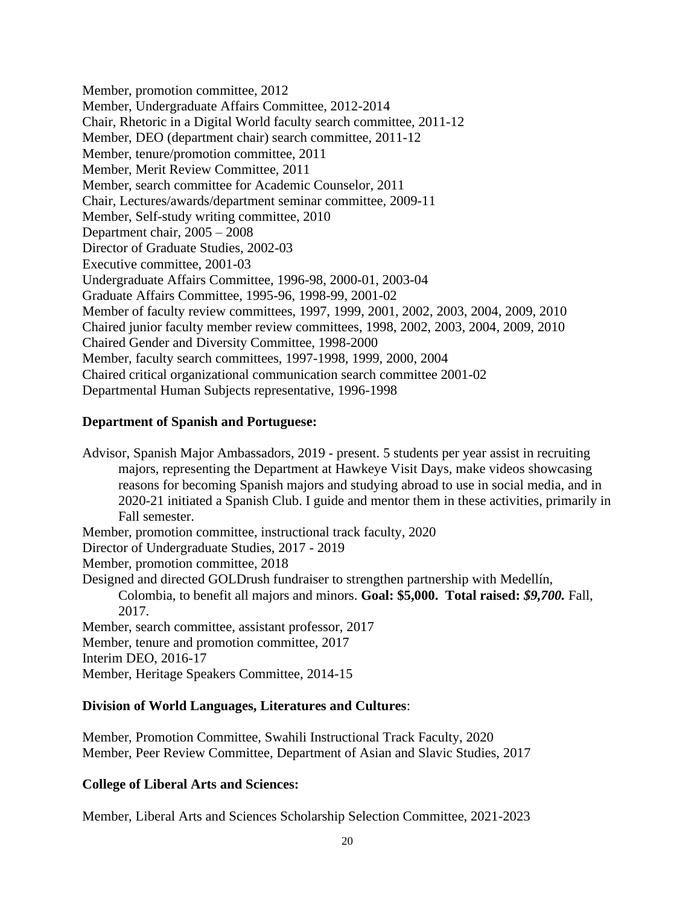Member, promotion committee, 2012 Member, Undergraduate Affairs Committee, 2012-2014 Chair, Rhetoric in a Digital World faculty search committee, 2011-12 Member, DEO (department chair) search committee, 2011-12 Member, tenure/promotion committee, 2011 Member, Merit Review Committee, 2011 Member, search committee for Academic Counselor, 2011 Chair, Lectures/awards/department seminar committee, 2009-11 Member, Self-study writing committee, 2010 Department chair, 2005 – 2008 Director of Graduate Studies, 2002-03 Executive committee, 2001-03 Undergraduate Affairs Committee, 1996-98, 2000-01, 2003-04 Graduate Affairs Committee, 1995-96, 1998-99, 2001-02 Member of faculty review committees, 1997, 1999, 2001, 2002, 2003, 2004, 2009, 2010 Chaired junior faculty member review committees, 1998, 2002, 2003, 2004, 2009, 2010 Chaired Gender and Diversity Committee, 1998-2000 Member, faculty search committees, 1997-1998, 1999, 2000, 2004 Chaired critical organizational communication search committee 2001-02 Departmental Human Subjects representative, 1996-1998

# **Department of Spanish and Portuguese:**

Advisor, Spanish Major Ambassadors, 2019 - present. 5 students per year assist in recruiting majors, representing the Department at Hawkeye Visit Days, make videos showcasing reasons for becoming Spanish majors and studying abroad to use in social media, and in 2020-21 initiated a Spanish Club. I guide and mentor them in these activities, primarily in Fall semester. Member, promotion committee, instructional track faculty, 2020

Director of Undergraduate Studies, 2017 - 2019

Member, promotion committee, 2018

Designed and directed GOLDrush fundraiser to strengthen partnership with Medellín,

Colombia, to benefit all majors and minors. **Goal: \$5,000. Total raised:** *\$9,700.* Fall, 2017.

Member, search committee, assistant professor, 2017 Member, tenure and promotion committee, 2017 Interim DEO, 2016-17 Member, Heritage Speakers Committee, 2014-15

# **Division of World Languages, Literatures and Cultures**:

Member, Promotion Committee, Swahili Instructional Track Faculty, 2020 Member, Peer Review Committee, Department of Asian and Slavic Studies, 2017

# **College of Liberal Arts and Sciences:**

Member, Liberal Arts and Sciences Scholarship Selection Committee, 2021-2023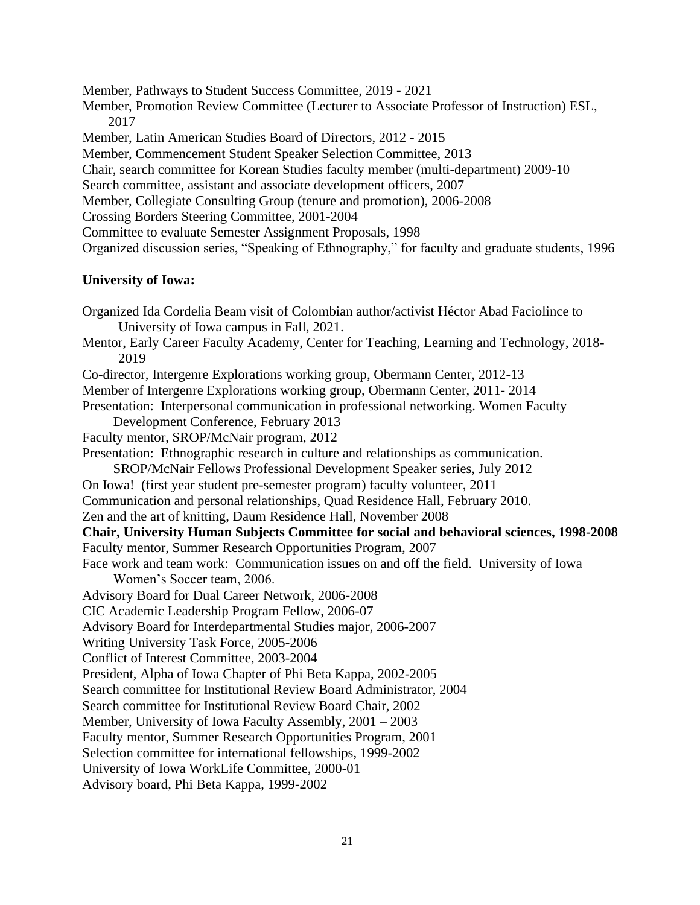Member, Pathways to Student Success Committee, 2019 - 2021 Member, Promotion Review Committee (Lecturer to Associate Professor of Instruction) ESL, 2017 Member, Latin American Studies Board of Directors, 2012 - 2015 Member, Commencement Student Speaker Selection Committee, 2013 Chair, search committee for Korean Studies faculty member (multi-department) 2009-10 Search committee, assistant and associate development officers, 2007 Member, Collegiate Consulting Group (tenure and promotion), 2006-2008 Crossing Borders Steering Committee, 2001-2004 Committee to evaluate Semester Assignment Proposals, 1998 Organized discussion series, "Speaking of Ethnography," for faculty and graduate students, 1996

# **University of Iowa:**

Organized Ida Cordelia Beam visit of Colombian author/activist Héctor Abad Faciolince to University of Iowa campus in Fall, 2021. Mentor, Early Career Faculty Academy, Center for Teaching, Learning and Technology, 2018- 2019 Co-director, Intergenre Explorations working group, Obermann Center, 2012-13 Member of Intergenre Explorations working group, Obermann Center, 2011- 2014 Presentation: Interpersonal communication in professional networking. Women Faculty Development Conference, February 2013 Faculty mentor, SROP/McNair program, 2012 Presentation: Ethnographic research in culture and relationships as communication. SROP/McNair Fellows Professional Development Speaker series, July 2012 On Iowa! (first year student pre-semester program) faculty volunteer, 2011 Communication and personal relationships, Quad Residence Hall, February 2010. Zen and the art of knitting, Daum Residence Hall, November 2008 **Chair, University Human Subjects Committee for social and behavioral sciences, 1998-2008** Faculty mentor, Summer Research Opportunities Program, 2007 Face work and team work: Communication issues on and off the field. University of Iowa Women's Soccer team, 2006. Advisory Board for Dual Career Network, 2006-2008 CIC Academic Leadership Program Fellow, 2006-07 Advisory Board for Interdepartmental Studies major, 2006-2007 Writing University Task Force, 2005-2006 Conflict of Interest Committee, 2003-2004 President, Alpha of Iowa Chapter of Phi Beta Kappa, 2002-2005 Search committee for Institutional Review Board Administrator, 2004 Search committee for Institutional Review Board Chair, 2002 Member, University of Iowa Faculty Assembly, 2001 – 2003 Faculty mentor, Summer Research Opportunities Program, 2001 Selection committee for international fellowships, 1999-2002 University of Iowa WorkLife Committee, 2000-01 Advisory board, Phi Beta Kappa, 1999-2002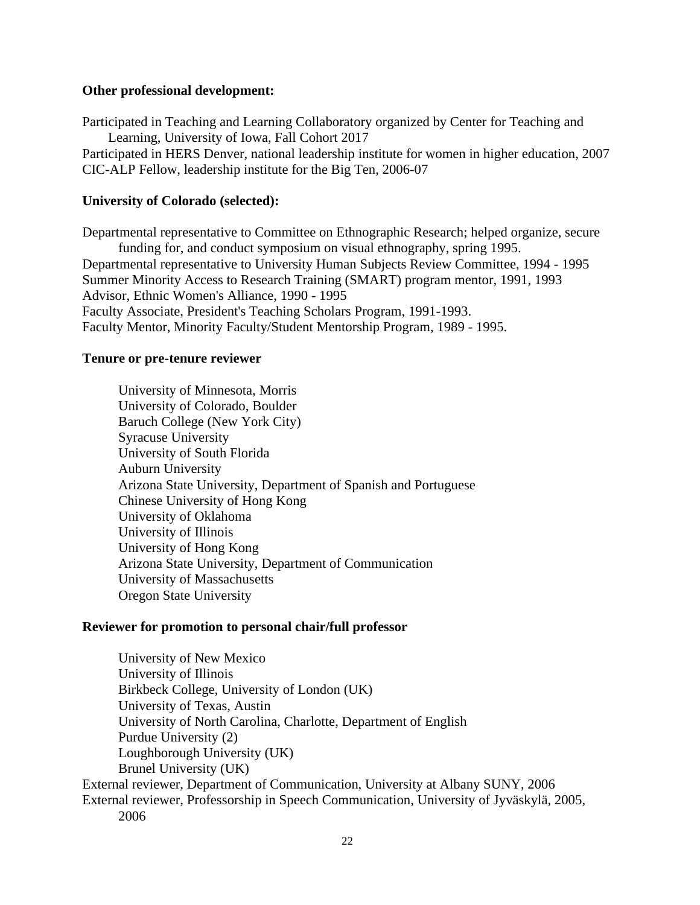## **Other professional development:**

Participated in Teaching and Learning Collaboratory organized by Center for Teaching and Learning, University of Iowa, Fall Cohort 2017 Participated in HERS Denver, national leadership institute for women in higher education, 2007 CIC-ALP Fellow, leadership institute for the Big Ten, 2006-07

## **University of Colorado (selected):**

Departmental representative to Committee on Ethnographic Research; helped organize, secure funding for, and conduct symposium on visual ethnography, spring 1995. Departmental representative to University Human Subjects Review Committee, 1994 - 1995 Summer Minority Access to Research Training (SMART) program mentor, 1991, 1993 Advisor, Ethnic Women's Alliance, 1990 - 1995 Faculty Associate, President's Teaching Scholars Program, 1991-1993. Faculty Mentor, Minority Faculty/Student Mentorship Program, 1989 - 1995.

#### **Tenure or pre-tenure reviewer**

University of Minnesota, Morris University of Colorado, Boulder Baruch College (New York City) Syracuse University University of South Florida Auburn University Arizona State University, Department of Spanish and Portuguese Chinese University of Hong Kong University of Oklahoma University of Illinois University of Hong Kong Arizona State University, Department of Communication University of Massachusetts Oregon State University

#### **Reviewer for promotion to personal chair/full professor**

University of New Mexico University of Illinois Birkbeck College, University of London (UK) University of Texas, Austin University of North Carolina, Charlotte, Department of English Purdue University (2) Loughborough University (UK) Brunel University (UK) External reviewer, Department of Communication, University at Albany SUNY, 2006 External reviewer, Professorship in Speech Communication, University of Jyväskylä, 2005, 2006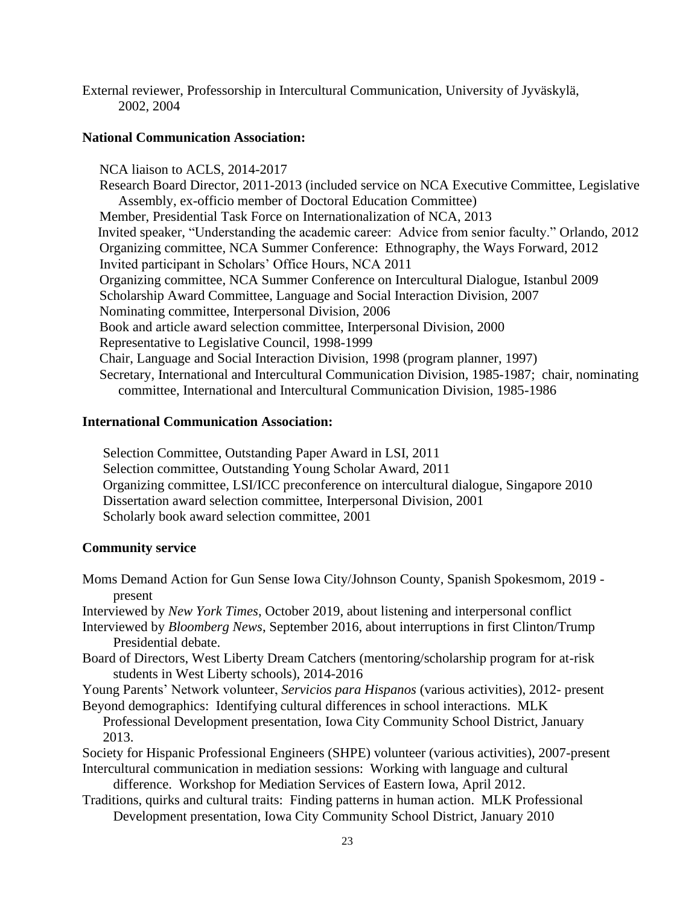External reviewer, Professorship in Intercultural Communication, University of Jyväskylä, 2002, 2004

## **National Communication Association:**

 NCA liaison to ACLS, 2014-2017 Research Board Director, 2011-2013 (included service on NCA Executive Committee, Legislative Assembly, ex-officio member of Doctoral Education Committee) Member, Presidential Task Force on Internationalization of NCA, 2013 Invited speaker, "Understanding the academic career: Advice from senior faculty." Orlando, 2012 Organizing committee, NCA Summer Conference: Ethnography, the Ways Forward, 2012 Invited participant in Scholars' Office Hours, NCA 2011 Organizing committee, NCA Summer Conference on Intercultural Dialogue, Istanbul 2009 Scholarship Award Committee, Language and Social Interaction Division, 2007 Nominating committee, Interpersonal Division, 2006 Book and article award selection committee, Interpersonal Division, 2000 Representative to Legislative Council, 1998-1999 Chair, Language and Social Interaction Division, 1998 (program planner, 1997) Secretary, International and Intercultural Communication Division, 1985-1987; chair, nominating committee, International and Intercultural Communication Division, 1985-1986

# **International Communication Association:**

 Selection Committee, Outstanding Paper Award in LSI, 2011 Selection committee, Outstanding Young Scholar Award, 2011 Organizing committee, LSI/ICC preconference on intercultural dialogue, Singapore 2010 Dissertation award selection committee, Interpersonal Division, 2001 Scholarly book award selection committee, 2001

## **Community service**

Moms Demand Action for Gun Sense Iowa City/Johnson County, Spanish Spokesmom, 2019 present

Interviewed by *New York Times*, October 2019, about listening and interpersonal conflict

- Interviewed by *Bloomberg News*, September 2016, about interruptions in first Clinton/Trump Presidential debate.
- Board of Directors, West Liberty Dream Catchers (mentoring/scholarship program for at-risk students in West Liberty schools), 2014-2016
- Young Parents' Network volunteer, *Servicios para Hispanos* (various activities), 2012- present Beyond demographics: Identifying cultural differences in school interactions. MLK

Professional Development presentation, Iowa City Community School District, January 2013.

- Society for Hispanic Professional Engineers (SHPE) volunteer (various activities), 2007-present Intercultural communication in mediation sessions: Working with language and cultural
	- difference. Workshop for Mediation Services of Eastern Iowa, April 2012.
- Traditions, quirks and cultural traits: Finding patterns in human action. MLK Professional Development presentation, Iowa City Community School District, January 2010